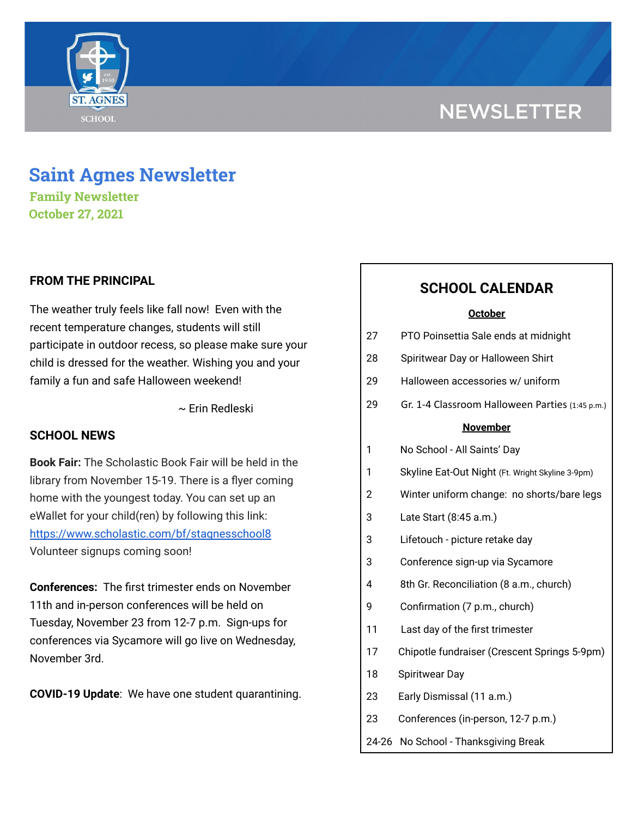# **NEWSLETTER**



## **Saint Agnes Newsletter**

**Family Newsletter October 27, 2021**

## **FROM THE PRINCIPAL**

The weather truly feels like fall now! Even with the recent temperature changes, students will still participate in outdoor recess, so please make sure your child is dressed for the weather. Wishing you and your family a fun and safe Halloween weekend!

~ Erin Redleski

## **SCHOOL NEWS**

**Book Fair:** The Scholastic Book Fair will be held in the library from November 15-19. There is a flyer coming home with the youngest today. You can set up an eWallet for your child(ren) by following this link: <https://www.scholastic.com/bf/stagnesschool8> Volunteer signups coming soon!

**Conferences:** The first trimester ends on November 11th and in-person conferences will be held on Tuesday, November 23 from 12-7 p.m. Sign-ups for conferences via Sycamore will go live on Wednesday, November 3rd.

**COVID-19 Update**: We have one student quarantining.

## **SCHOOL CALENDAR**

#### **October**

| 27              | PTO Poinsettia Sale ends at midnight             |
|-----------------|--------------------------------------------------|
| 28              | Spiritwear Day or Halloween Shirt                |
| 29              | Halloween accessories w/ uniform                 |
| 29              | Gr. 1-4 Classroom Halloween Parties (1:45 p.m.)  |
| <b>November</b> |                                                  |
| 1               | No School - All Saints' Day                      |
| 1               | Skyline Eat-Out Night (Ft. Wright Skyline 3-9pm) |
| 2               | Winter uniform change: no shorts/bare legs       |
| 3               | Late Start (8:45 a.m.)                           |
| 3               | Lifetouch - picture retake day                   |
| 3               | Conference sign-up via Sycamore                  |
| 4               | 8th Gr. Reconciliation (8 a.m., church)          |
| 9               | Confirmation (7 p.m., church)                    |
| 11              | Last day of the first trimester                  |
| 17              | Chipotle fundraiser (Crescent Springs 5-9pm)     |
| 18              | Spiritwear Day                                   |
| 23              | Early Dismissal (11 a.m.)                        |
| 23              | Conferences (in-person, 12-7 p.m.)               |

24-26 No School - Thanksgiving Break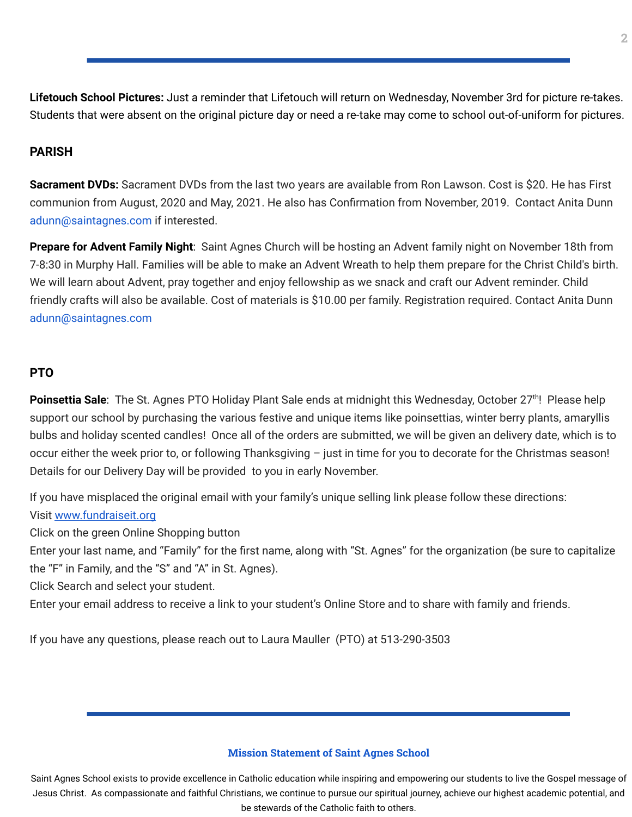**Lifetouch School Pictures:** Just a reminder that Lifetouch will return on Wednesday, November 3rd for picture re-takes. Students that were absent on the original picture day or need a re-take may come to school out-of-uniform for pictures.

## **PARISH**

**Sacrament DVDs:** Sacrament DVDs from the last two years are available from Ron Lawson. Cost is \$20. He has First communion from August, 2020 and May, 2021. He also has Confirmation from November, 2019. Contact Anita Dunn adunn@saintagnes.com if interested.

**Prepare for Advent Family Night**: Saint Agnes Church will be hosting an Advent family night on November 18th from 7-8:30 in Murphy Hall. Families will be able to make an Advent Wreath to help them prepare for the Christ Child's birth. We will learn about Advent, pray together and enjoy fellowship as we snack and craft our Advent reminder. Child friendly crafts will also be available. Cost of materials is \$10.00 per family. Registration required. Contact Anita Dunn adunn@saintagnes.com

### **PTO**

Poinsettia Sale: The St. Agnes PTO Holiday Plant Sale ends at midnight this Wednesday, October 27<sup>th</sup>! Please help support our school by purchasing the various festive and unique items like poinsettias, winter berry plants, amaryllis bulbs and holiday scented candles! Once all of the orders are submitted, we will be given an delivery date, which is to occur either the week prior to, or following Thanksgiving – just in time for you to decorate for the Christmas season! Details for our Delivery Day will be provided to you in early November.

If you have misplaced the original email with your family's unique selling link please follow these directions: Visit [www.fundraiseit.org](http://www.fundraiseit.org/)

Click on the green Online Shopping button

Enter your last name, and "Family" for the first name, along with "St. Agnes" for the organization (be sure to capitalize the "F" in Family, and the "S" and "A" in St. Agnes).

Click Search and select your student.

Enter your email address to receive a link to your student's Online Store and to share with family and friends.

If you have any questions, please reach out to Laura Mauller (PTO) at 513-290-3503

### **Mission Statement of Saint Agnes School**

Saint Agnes School exists to provide excellence in Catholic education while inspiring and empowering our students to live the Gospel message of Jesus Christ. As compassionate and faithful Christians, we continue to pursue our spiritual journey, achieve our highest academic potential, and be stewards of the Catholic faith to others.